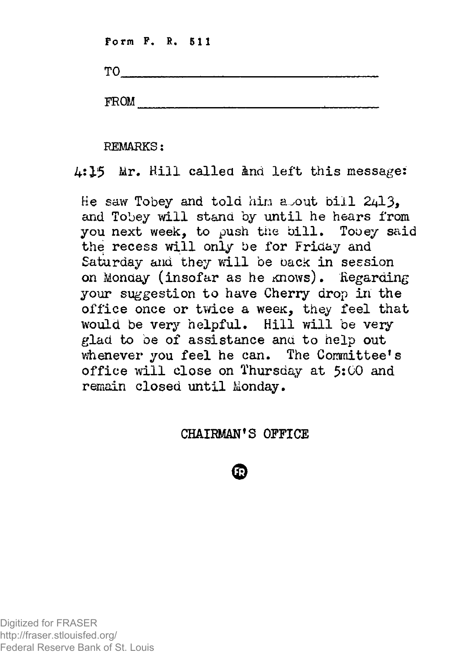**Form F. R. 511** 

**TO** 

**FROM** 

**REMARKS:** 

4:15 Mr. Hill called and left this message:

He saw Tobey and told him a out bill  $2413$ . and Tobey will stand by until he hears from you next week, to push the bill. Tooey said the recess will only be for Friday and Saturday and they will be back in session on Monday (insofar as he knows). Regarding your suggestion to have Cherry drop in the office once or twice a week, they feel that would be very helpful. Hill will be very glad to be of assistance and to help out whenever you feel he can. The Committee's office will close on Thursday at 5:00 and remain closed until Monday.

## **CHAIRMAN'S OFFICE**

FR.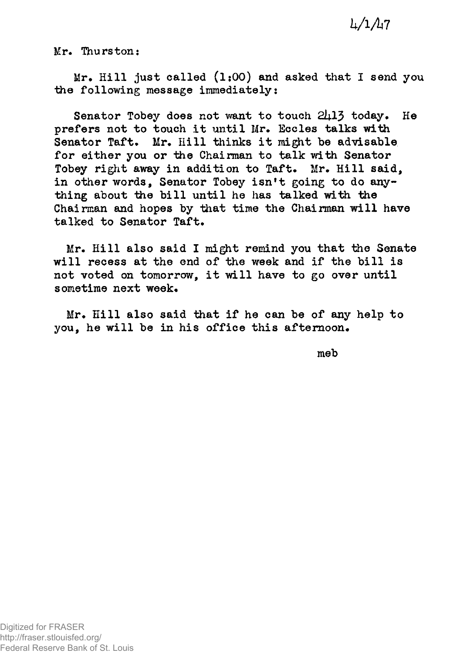## *bAA7*

**Mr. Thurston:** 

**Mr. Hill just called (1:00) and asked that I send you the following message immediately:** 

Senator Tobey does not want to touch 2413 today. He **prefers not to touch it until Mr. Eccles talks with Senator Taft. Mr. Hill thinks it might be advisable for either you or the Chairman to talk with Senator Tobey right away in addition to Taft. Mr. Hill said, in other words, Senator Tobey isn't going to do anything about the bill until he has talked with the Chairman and hopes by that time the Chairman will have talked to Senator Taft.** 

**Mr. Hill also said I might remind you that the Senate will recess at the end of the week and if the bill is not voted oh tomorrow, it will have to go over until sometime next week.** 

**Mr. Hill also said that if he can be of any help to you, he will be in his office this afternoon.** 

**meb**